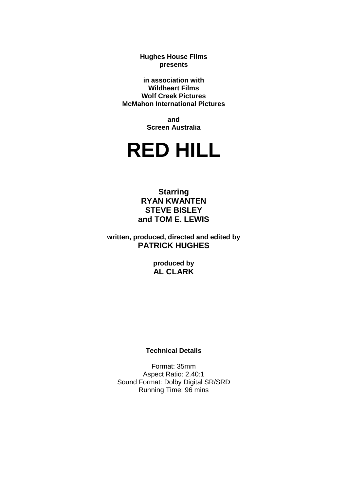**Hughes House Films presents**

**in association with Wildheart Films Wolf Creek Pictures McMahon International Pictures**

> **and Screen Australia**

# **RED HILL**

**Starring RYAN KWANTEN STEVE BISLEY and TOM E. LEWIS**

**written, produced, directed and edited by PATRICK HUGHES**

> **produced by AL CLARK**

#### **Technical Details**

Format: 35mm Aspect Ratio: 2.40:1 Sound Format: Dolby Digital SR/SRD Running Time: 96 mins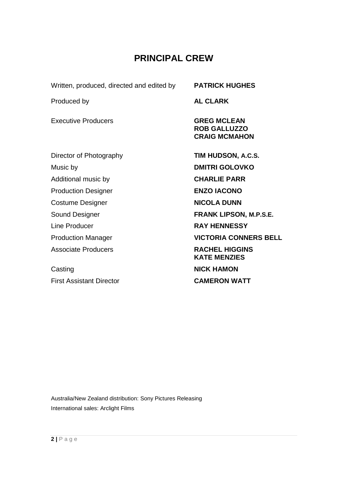# **PRINCIPAL CREW**

Written, produced, directed and edited by **PATRICK HUGHES**

Produced by **AL CLARK**

Executive Producers **GREG MCLEAN** 

Director of Photography **TIM HUDSON, A.C.S.** Music by **DMITRI GOLOVKO** Additional music by **CHARLIE PARR** Production Designer **ENZO IACONO Costume Designer <b>NICOLA DUNN** Line Producer **RAY HENNESSY**

Associate Producers **RACHEL HIGGINS** 

**Casting Casting Casting Casting Casting Casting Casting Casting Casting Casting Casting Casting Casting Casting Casting Casting Casting Casting Casting Casting Casting Casting Casting Casting Casting Casting Casting Casti** First Assistant Director **CAMERON WATT**

**ROB GALLUZZO CRAIG MCMAHON**

Sound Designer **FRANK LIPSON, M.P.S.E.** Production Manager **VICTORIA CONNERS BELL KATE MENZIES**

Australia/New Zealand distribution: Sony Pictures Releasing International sales: Arclight Films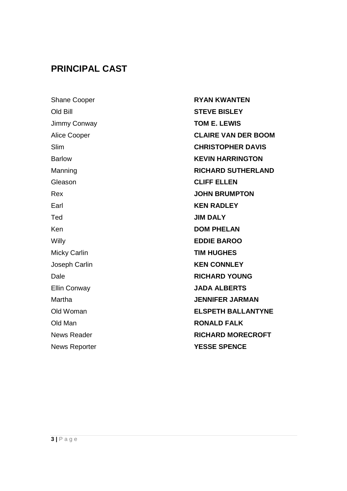# **PRINCIPAL CAST**

Shane Cooper **RYAN KWANTEN** Old Bill **STEVE BISLEY** Jimmy Conway **TOM E. LEWIS** Gleason **CLIFF ELLEN** Earl **KEN RADLEY** Ted **JIM DALY** Ken **DOM PHELAN** Willy **EDDIE BAROO** Micky Carlin **TIM HUGHES** Joseph Carlin **KEN CONNLEY** Ellin Conway **JADA ALBERTS** Old Man **RONALD FALK**

Alice Cooper **CLAIRE VAN DER BOOM** Slim **CHRISTOPHER DAVIS** Barlow **KEVIN HARRINGTON** Manning **RICHARD SUTHERLAND** Rex **JOHN BRUMPTON** Dale **RICHARD YOUNG** Martha **JENNIFER JARMAN** Old Woman **ELSPETH BALLANTYNE** News Reader **RICHARD MORECROFT** News Reporter **YESSE SPENCE**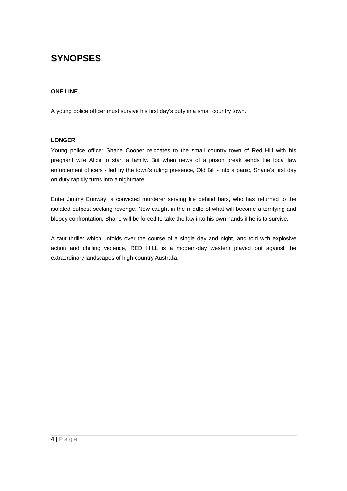# **SYNOPSES**

#### **ONE LINE**

A young police officer must survive his first day's duty in a small country town.

#### **LONGER**

Young police officer Shane Cooper relocates to the small country town of Red Hill with his pregnant wife Alice to start a family. But when news of a prison break sends the local law enforcement officers - led by the town's ruling presence, Old Bill - into a panic, Shane's first day on duty rapidly turns into a nightmare.

Enter Jimmy Conway, a convicted murderer serving life behind bars, who has returned to the isolated outpost seeking revenge. Now caught in the middle of what will become a terrifying and bloody confrontation, Shane will be forced to take the law into his own hands if he is to survive.

A taut thriller which unfolds over the course of a single day and night, and told with explosive action and chilling violence, RED HILL is a modern-day western played out against the extraordinary landscapes of high-country Australia.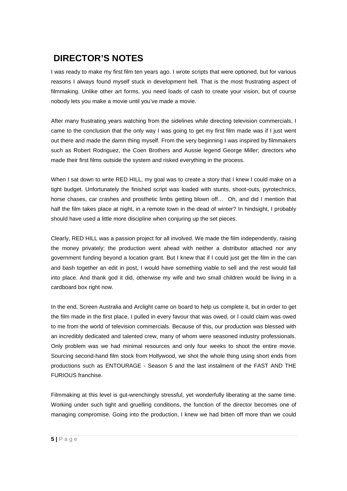# **DIRECTOR'S NOTES**

I was ready to make my first film ten years ago. I wrote scripts that were optioned, but for various reasons I always found myself stuck in development hell. That is the most frustrating aspect of filmmaking. Unlike other art forms, you need loads of cash to create your vision, but of course nobody lets you make a movie until you've made a movie.

After many frustrating years watching from the sidelines while directing television commercials, I came to the conclusion that the only way I was going to get my first film made was if I just went out there and made the damn thing myself. From the very beginning I was inspired by filmmakers such as Robert Rodriguez, the Coen Brothers and Aussie legend George Miller; directors who made their first films outside the system and risked everything in the process.

When I sat down to write RED HILL, my goal was to create a story that I knew I could make on a tight budget. Unfortunately the finished script was loaded with stunts, shoot-outs, pyrotechnics, horse chases, car crashes and prosthetic limbs getting blown off… Oh, and did I mention that half the film takes place at night, in a remote town in the dead of winter? In hindsight, I probably should have used a little more discipline when conjuring up the set pieces.

Clearly, RED HILL was a passion project for all involved. We made the film independently, raising the money privately; the production went ahead with neither a distributor attached nor any government funding beyond a location grant. But I knew that if I could just get the film in the can and bash together an edit in post, I would have something viable to sell and the rest would fall into place. And thank god it did, otherwise my wife and two small children would be living in a cardboard box right now.

In the end, Screen Australia and Arclight came on board to help us complete it, but in order to get the film made in the first place, I pulled in every favour that was owed, or I could claim was owed to me from the world of television commercials. Because of this, our production was blessed with an incredibly dedicated and talented crew, many of whom were seasoned industry professionals. Only problem was we had minimal resources and only four weeks to shoot the entire movie. Sourcing second-hand film stock from Hollywood, we shot the whole thing using short ends from productions such as ENTOURAGE - Season 5 and the last instalment of the FAST AND THE FURIOUS franchise.

Filmmaking at this level is gut-wrenchingly stressful, yet wonderfully liberating at the same time. Working under such tight and gruelling conditions, the function of the director becomes one of managing compromise. Going into the production, I knew we had bitten off more than we could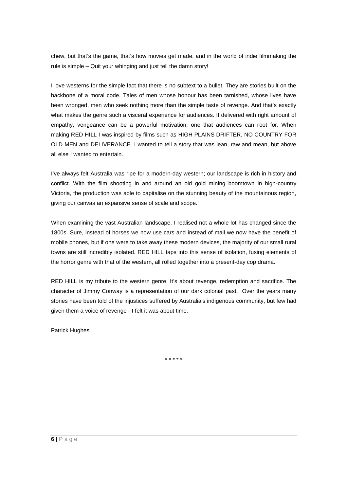chew, but that's the game, that's how movies get made, and in the world of indie filmmaking the rule is simple – Quit your whinging and just tell the damn story!

I love westerns for the simple fact that there is no subtext to a bullet. They are stories built on the backbone of a moral code. Tales of men whose honour has been tarnished, whose lives have been wronged, men who seek nothing more than the simple taste of revenge. And that's exactly what makes the genre such a visceral experience for audiences. If delivered with right amount of empathy, vengeance can be a powerful motivation, one that audiences can root for. When making RED HILL I was inspired by films such as HIGH PLAINS DRIFTER, NO COUNTRY FOR OLD MEN and DELIVERANCE. I wanted to tell a story that was lean, raw and mean, but above all else I wanted to entertain.

I've always felt Australia was ripe for a modern-day western; our landscape is rich in history and conflict. With the film shooting in and around an old gold mining boomtown in high-country Victoria, the production was able to capitalise on the stunning beauty of the mountainous region, giving our canvas an expansive sense of scale and scope.

When examining the vast Australian landscape, I realised not a whole lot has changed since the 1800s. Sure, instead of horses we now use cars and instead of mail we now have the benefit of mobile phones, but if one were to take away these modern devices, the majority of our small rural towns are still incredibly isolated. RED HILL taps into this sense of isolation, fusing elements of the horror genre with that of the western, all rolled together into a present-day cop drama.

RED HILL is my tribute to the western genre. It's about revenge, redemption and sacrifice. The character of Jimmy Conway is a representation of our dark colonial past. Over the years many stories have been told of the injustices suffered by Australia's indigenous community, but few had given them a voice of revenge - I felt it was about time.

Patrick Hughes

\* \* \* \* \*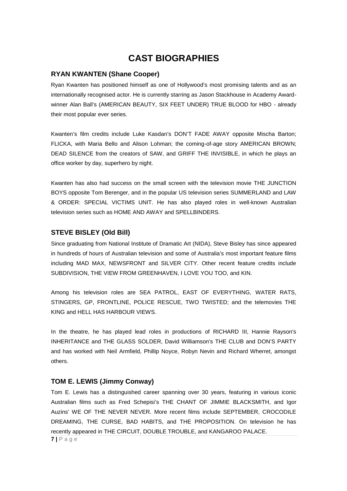# **CAST BIOGRAPHIES**

#### **RYAN KWANTEN (Shane Cooper)**

Ryan Kwanten has positioned himself as one of Hollywood's most promising talents and as an internationally recognised actor. He is currently starring as Jason Stackhouse in Academy Awardwinner Alan Ball's (AMERICAN BEAUTY, SIX FEET UNDER) TRUE BLOOD for HBO - already their most popular ever series.

Kwanten's film credits include Luke Kasdan's DON'T FADE AWAY opposite Mischa Barton; FLICKA, with Maria Bello and Alison Lohman; the coming-of-age story AMERICAN BROWN; DEAD SILENCE from the creators of SAW, and GRIFF THE INVISIBLE, in which he plays an office worker by day, superhero by night.

Kwanten has also had success on the small screen with the television movie THE JUNCTION BOYS opposite Tom Berenger, and in the popular US television series SUMMERLAND and LAW & ORDER: SPECIAL VICTIMS UNIT. He has also played roles in well-known Australian television series such as HOME AND AWAY and SPELLBINDERS.

#### **STEVE BISLEY (Old Bill)**

Since graduating from National Institute of Dramatic Art (NIDA), Steve Bisley has since appeared in hundreds of hours of Australian television and some of Australia's most important feature films including MAD MAX, NEWSFRONT and SILVER CITY. Other recent feature credits include SUBDIVISION, THE VIEW FROM GREENHAVEN, I LOVE YOU TOO, and KIN.

Among his television roles are SEA PATROL, EAST OF EVERYTHING, WATER RATS, STINGERS, GP, FRONTLINE, POLICE RESCUE, TWO TWISTED; and the telemovies THE KING and HELL HAS HARBOUR VIEWS.

In the theatre, he has played lead roles in productions of RICHARD III, Hannie Rayson's INHERITANCE and THE GLASS SOLDER, David Williamson's THE CLUB and DON'S PARTY and has worked with Neil Armfield, Phillip Noyce, Robyn Nevin and Richard Wherret, amongst others.

#### **TOM E. LEWIS (Jimmy Conway)**

Tom E. Lewis has a distinguished career spanning over 30 years, featuring in various iconic Australian films such as Fred Schepisi's THE CHANT OF JIMMIE BLACKSMITH, and Igor Auzins' WE OF THE NEVER NEVER. More recent films include SEPTEMBER, CROCODILE DREAMING, THE CURSE, BAD HABITS, and THE PROPOSITION. On television he has recently appeared in THE CIRCUIT, DOUBLE TROUBLE, and KANGAROO PALACE.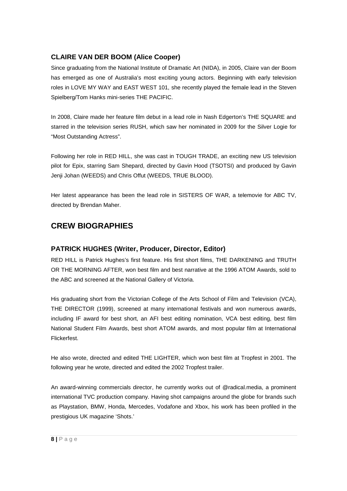# **CLAIRE VAN DER BOOM (Alice Cooper)**

Since graduating from the National Institute of Dramatic Art (NIDA), in 2005, Claire van der Boom has emerged as one of Australia's most exciting young actors. Beginning with early television roles in LOVE MY WAY and EAST WEST 101, she recently played the female lead in the Steven Spielberg/Tom Hanks mini-series THE PACIFIC.

In 2008, Claire made her feature film debut in a lead role in Nash Edgerton's THE SQUARE and starred in the television series RUSH, which saw her nominated in 2009 for the Silver Logie for "Most Outstanding Actress".

Following her role in RED HILL, she was cast in TOUGH TRADE, an exciting new US television pilot for Epix, starring Sam Shepard, directed by Gavin Hood (TSOTSI) and produced by Gavin Jenji Johan (WEEDS) and Chris Offut (WEEDS, TRUE BLOOD).

Her latest appearance has been the lead role in SISTERS OF WAR, a telemovie for ABC TV, directed by Brendan Maher.

# **CREW BIOGRAPHIES**

# **PATRICK HUGHES (Writer, Producer, Director, Editor)**

RED HILL is Patrick Hughes's first feature. His first short films, THE DARKENING and TRUTH OR THE MORNING AFTER, won best film and best narrative at the 1996 ATOM Awards, sold to the ABC and screened at the National Gallery of Victoria.

His graduating short from the Victorian College of the Arts School of Film and Television (VCA), THE DIRECTOR (1999), screened at many international festivals and won numerous awards, including IF award for best short, an AFI best editing nomination, VCA best editing, best film National Student Film Awards, best short ATOM awards, and most popular film at International Flickerfest.

He also wrote, directed and edited THE LIGHTER, which won best film at Tropfest in 2001. The following year he wrote, directed and edited the 2002 Tropfest trailer.

An award-winning commercials director, he currently works out of @radical.media, a prominent international TVC production company. Having shot campaigns around the globe for brands such as Playstation, BMW, Honda, Mercedes, Vodafone and Xbox, his work has been profiled in the prestigious UK magazine 'Shots.'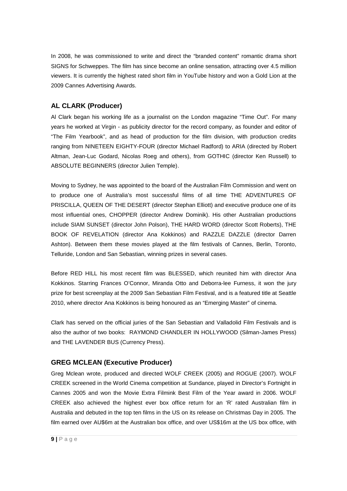In 2008, he was commissioned to write and direct the "branded content" romantic drama short SIGNS for Schweppes. The film has since become an online sensation, attracting over 4.5 million viewers. It is currently the highest rated short film in YouTube history and won a Gold Lion at the 2009 Cannes Advertising Awards.

### **AL CLARK (Producer)**

Al Clark began his working life as a journalist on the London magazine "Time Out". For many years he worked at Virgin - as publicity director for the record company, as founder and editor of "The Film Yearbook", and as head of production for the film division, with production credits ranging from NINETEEN EIGHTY-FOUR (director Michael Radford) to ARIA (directed by Robert Altman, Jean-Luc Godard, Nicolas Roeg and others), from GOTHIC (director Ken Russell) to ABSOLUTE BEGINNERS (director Julien Temple).

Moving to Sydney, he was appointed to the board of the Australian Film Commission and went on to produce one of Australia's most successful films of all time THE ADVENTURES OF PRISCILLA, QUEEN OF THE DESERT (director Stephan Elliott) and executive produce one of its most influential ones, CHOPPER (director Andrew Dominik). His other Australian productions include SIAM SUNSET (director John Polson), THE HARD WORD (director Scott Roberts), THE BOOK OF REVELATION (director Ana Kokkinos) and RAZZLE DAZZLE (director Darren Ashton). Between them these movies played at the film festivals of Cannes, Berlin, Toronto, Telluride, London and San Sebastian, winning prizes in several cases.

Before RED HILL his most recent film was BLESSED, which reunited him with director Ana Kokkinos. Starring Frances O'Connor, Miranda Otto and Deborra-lee Furness, it won the jury prize for best screenplay at the 2009 San Sebastian Film Festival, and is a featured title at Seattle 2010, where director Ana Kokkinos is being honoured as an "Emerging Master" of cinema.

Clark has served on the official juries of the San Sebastian and Valladolid Film Festivals and is also the author of two books: RAYMOND CHANDLER IN HOLLYWOOD (Silman-James Press) and THE LAVENDER BUS (Currency Press).

#### **GREG MCLEAN (Executive Producer)**

Greg Mclean wrote, produced and directed WOLF CREEK (2005) and ROGUE (2007). WOLF CREEK screened in the World Cinema competition at Sundance, played in Director's Fortnight in Cannes 2005 and won the Movie Extra Filmink Best Film of the Year award in 2006. WOLF CREEK also achieved the highest ever box office return for an 'R' rated Australian film in Australia and debuted in the top ten films in the US on its release on Christmas Day in 2005. The film earned over AU\$6m at the Australian box office, and over US\$16m at the US box office, with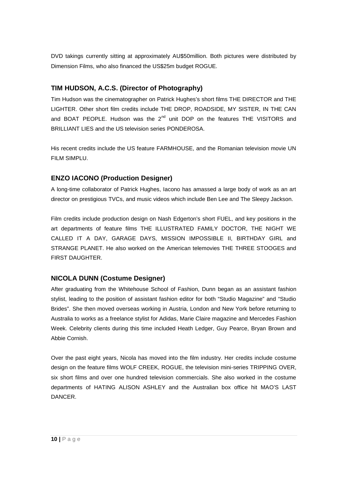DVD takings currently sitting at approximately AU\$50million. Both pictures were distributed by Dimension Films, who also financed the US\$25m budget ROGUE.

## **TIM HUDSON, A.C.S. (Director of Photography)**

Tim Hudson was the cinematographer on Patrick Hughes's short films THE DIRECTOR and THE LIGHTER. Other short film credits include THE DROP, ROADSIDE, MY SISTER, IN THE CAN and BOAT PEOPLE. Hudson was the  $2^{nd}$  unit DOP on the features THE VISITORS and BRILLIANT LIES and the US television series PONDEROSA.

His recent credits include the US feature FARMHOUSE, and the Romanian television movie UN FILM SIMPLU.

# **ENZO IACONO (Production Designer)**

A long-time collaborator of Patrick Hughes, Iacono has amassed a large body of work as an art director on prestigious TVCs, and music videos which include Ben Lee and The Sleepy Jackson.

Film credits include production design on Nash Edgerton's short FUEL, and key positions in the art departments of feature films THE ILLUSTRATED FAMILY DOCTOR, THE NIGHT WE CALLED IT A DAY, GARAGE DAYS, MISSION IMPOSSIBLE II, BIRTHDAY GIRL and STRANGE PLANET. He also worked on the American telemovies THE THREE STOOGES and FIRST DAUGHTER.

# **NICOLA DUNN (Costume Designer)**

After graduating from the Whitehouse School of Fashion, Dunn began as an assistant fashion stylist, leading to the position of assistant fashion editor for both "Studio Magazine" and "Studio Brides". She then moved overseas working in Austria, London and New York before returning to Australia to works as a freelance stylist for Adidas, Marie Claire magazine and Mercedes Fashion Week. Celebrity clients during this time included Heath Ledger, Guy Pearce, Bryan Brown and Abbie Cornish.

Over the past eight years, Nicola has moved into the film industry. Her credits include costume design on the feature films WOLF CREEK, ROGUE, the television mini-series TRIPPING OVER, six short films and over one hundred television commercials. She also worked in the costume departments of HATING ALISON ASHLEY and the Australian box office hit MAO'S LAST DANCER.